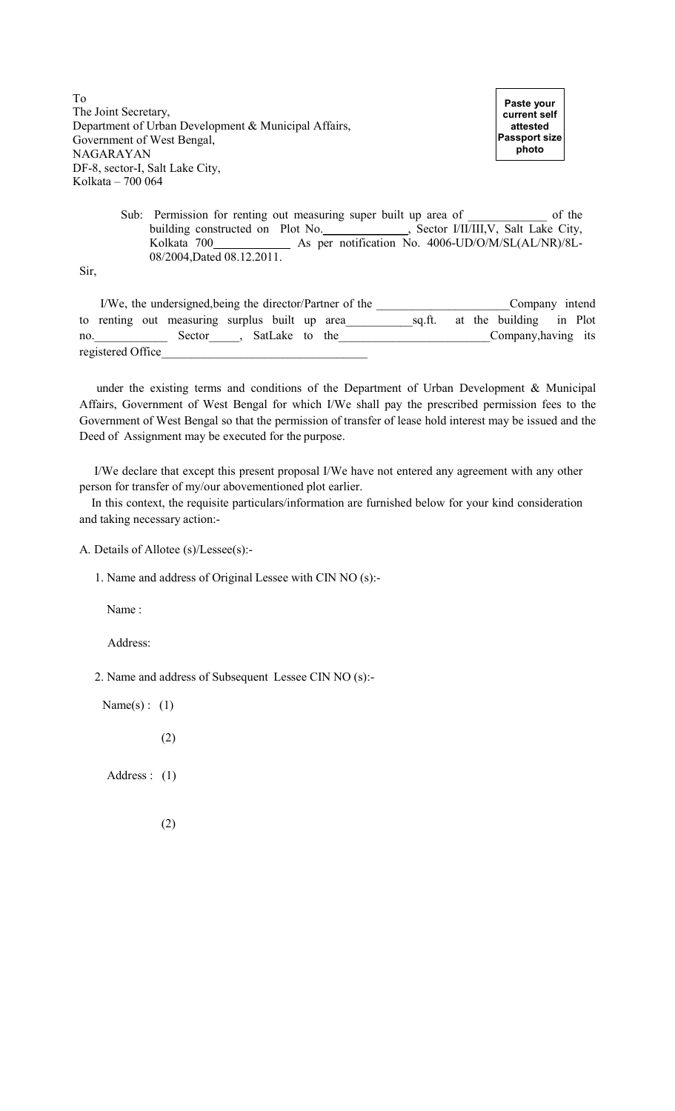To The Joint Secretary, Department of Urban Development & Municipal Affairs, Government of West Bengal, NAGARAYAN DF-8, sector-I, Salt Lake City, Kolkata – 700 064

Paste your current self attested Passport size photo

Sub: Permission for renting out measuring super built up area of  $\qquad$  of the building constructed on Plot No. \_\_\_\_\_\_\_\_\_\_\_\_, Sector  $VII/III, V$ , Salt Lake City, Kolkata 700\_\_\_\_\_\_\_\_\_\_\_\_\_ As per notification No. 4006-UD/O/M/SL(AL/NR)/8L-08/2004,Dated 08.12.2011.

Sir,

|     | I/We, the undersigned, being the director/Partner of the |  |                                                |  |                |  |  | Company intend |  |  |                         |  |  |
|-----|----------------------------------------------------------|--|------------------------------------------------|--|----------------|--|--|----------------|--|--|-------------------------|--|--|
|     |                                                          |  | to renting out measuring surplus built up area |  |                |  |  | sa.ft.         |  |  | at the building in Plot |  |  |
| no. |                                                          |  | Sector                                         |  | SatLake to the |  |  |                |  |  | Company, having its     |  |  |
|     | registered Office                                        |  |                                                |  |                |  |  |                |  |  |                         |  |  |

 under the existing terms and conditions of the Department of Urban Development & Municipal Affairs, Government of West Bengal for which I/We shall pay the prescribed permission fees to the Government of West Bengal so that the permission of transfer of lease hold interest may be issued and the Deed of Assignment may be executed for the purpose.

 I/We declare that except this present proposal I/We have not entered any agreement with any other person for transfer of my/our abovementioned plot earlier.

 In this context, the requisite particulars/information are furnished below for your kind consideration and taking necessary action:-

A. Details of Allotee (s)/Lessee(s):-

1. Name and address of Original Lessee with CIN NO (s):-

Name :

Address:

2. Name and address of Subsequent Lessee CIN NO (s):-

Name $(s)$ :  $(1)$ 

(2)

Address : (1)

(2)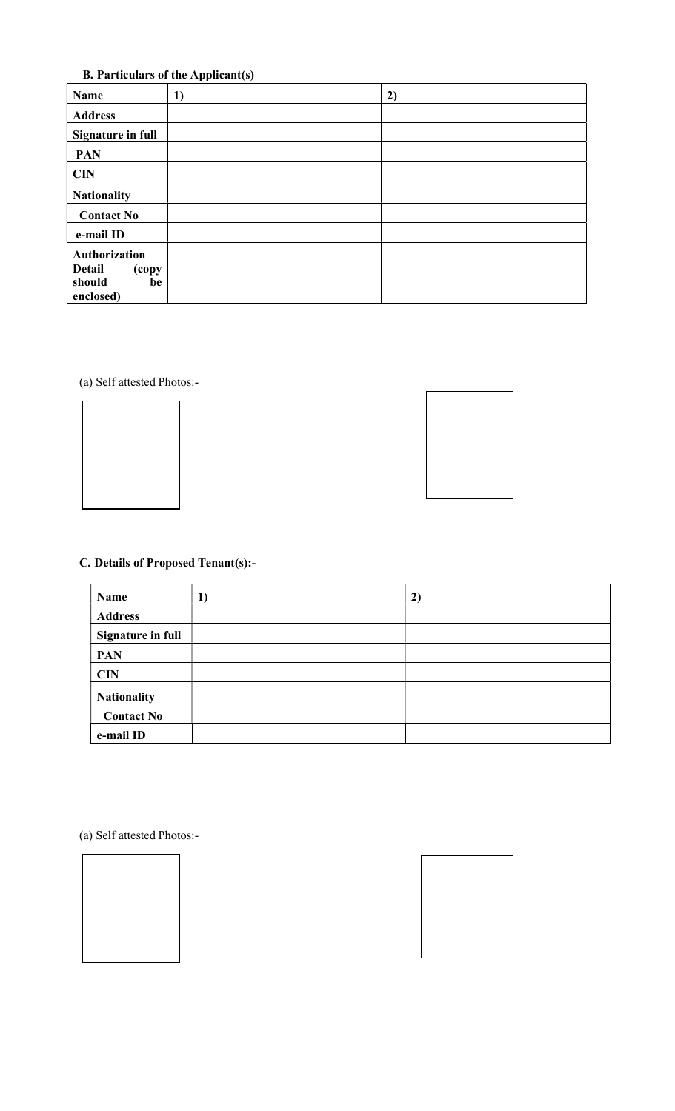## B. Particulars of the Applicant(s)

| Name                      | 1) | 2) |
|---------------------------|----|----|
| <b>Address</b>            |    |    |
| <b>Signature in full</b>  |    |    |
| <b>PAN</b>                |    |    |
| <b>CIN</b>                |    |    |
| <b>Nationality</b>        |    |    |
| <b>Contact No</b>         |    |    |
| e-mail ID                 |    |    |
| Authorization             |    |    |
| <b>Detail</b><br>(copy)   |    |    |
| should<br>be<br>enclosed) |    |    |

(a) Self attested Photos:-





# C. Details of Proposed Tenant(s):-

| Name                     | 2) |
|--------------------------|----|
| <b>Address</b>           |    |
| <b>Signature in full</b> |    |
| <b>PAN</b>               |    |
| <b>CIN</b>               |    |
| <b>Nationality</b>       |    |
| <b>Contact No</b>        |    |
| e-mail ID                |    |

(a) Self attested Photos:-



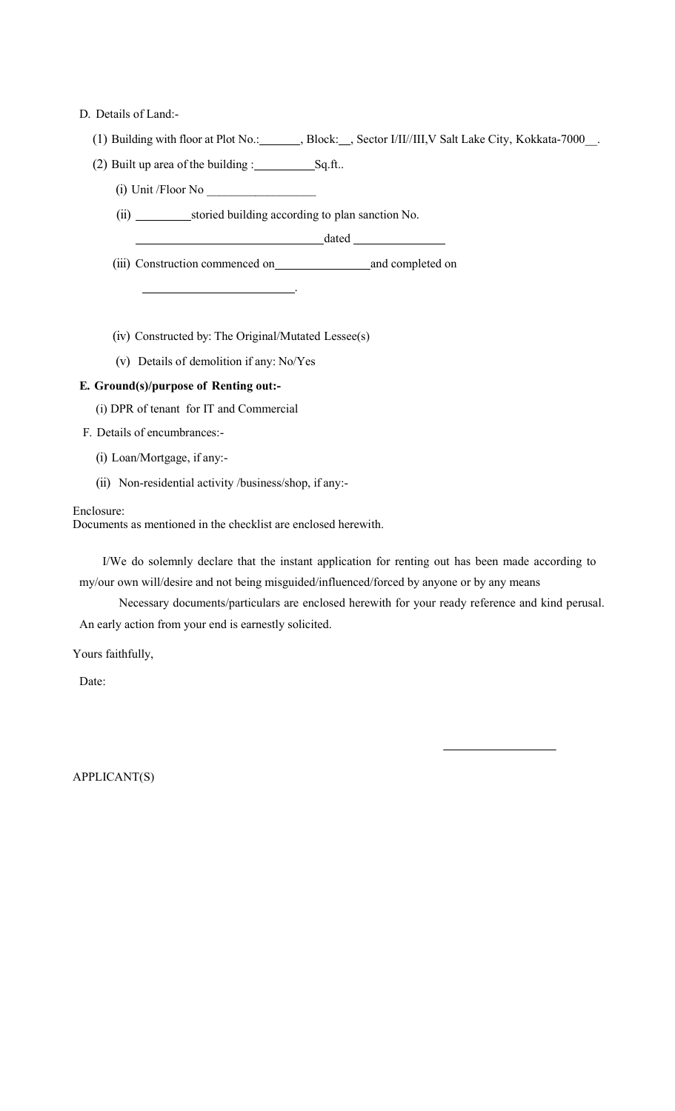D. Details of Land:-

- (1) Building with floor at Plot No.: Block: , Sector I/II//III, V Salt Lake City, Kokkata-7000 .
- (2) Built up area of the building :  $\qquad \qquad$  Sq.ft..
	- $(i)$  Unit /Floor No  $\_\_$
	- (ii) storied building according to plan sanction No.

.

dated

- (iii) Construction commenced on and completed on
- (iv) Constructed by: The Original/Mutated Lessee(s)
- (v) Details of demolition if any: No/Yes

#### E. Ground(s)/purpose of Renting out:-

- (i) DPR of tenant for IT and Commercial
- F. Details of encumbrances:-
	- (i) Loan/Mortgage, if any:-
	- (ii) Non-residential activity /business/shop, if any:-

#### Enclosure:

Documents as mentioned in the checklist are enclosed herewith.

I/We do solemnly declare that the instant application for renting out has been made according to my/our own will/desire and not being misguided/influenced/forced by anyone or by any means

Necessary documents/particulars are enclosed herewith for your ready reference and kind perusal. An early action from your end is earnestly solicited.

Yours faithfully,

Date:

APPLICANT(S)